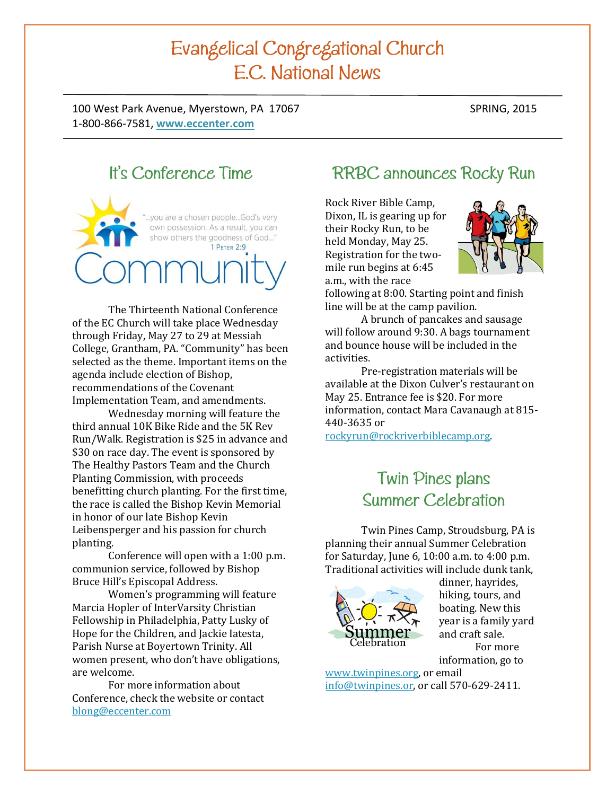# Evangelical Congregational Church E.C. National News

100 West Park Avenue, Myerstown, PA 17067 SPRING, 2015 1-800-866-7581, **[www.eccenter.com](http://www.eccenter.com/)**

# It's Conference Time

you are a chosen people...God's very own possession. As a result, you can show others the goodness of God..." 1 PETER 2:9

The Thirteenth National Conference of the EC Church will take place Wednesday through Friday, May 27 to 29 at Messiah College, Grantham, PA. "Community" has been selected as the theme. Important items on the agenda include election of Bishop, recommendations of the Covenant Implementation Team, and amendments.

Wednesday morning will feature the third annual 10K Bike Ride and the 5K Rev Run/Walk. Registration is \$25 in advance and \$30 on race day. The event is sponsored by The Healthy Pastors Team and the Church Planting Commission, with proceeds benefitting church planting. For the first time, the race is called the Bishop Kevin Memorial in honor of our late Bishop Kevin Leibensperger and his passion for church planting.

Conference will open with a 1:00 p.m. communion service, followed by Bishop Bruce Hill's Episcopal Address.

Women's programming will feature Marcia Hopler of InterVarsity Christian Fellowship in Philadelphia, Patty Lusky of Hope for the Children, and Jackie Iatesta, Parish Nurse at Boyertown Trinity. All women present, who don't have obligations, are welcome.

For more information about Conference, check the website or contact [blong@eccenter.com](mailto:blong@eccenter.com)

# **RRBC** announces Rocky Run

Rock River Bible Camp, Dixon, IL is gearing up for their Rocky Run, to be held Monday, May 25. Registration for the twomile run begins at 6:45 a.m., with the race



following at 8:00. Starting point and finish line will be at the camp pavilion.

A brunch of pancakes and sausage will follow around 9:30. A bags tournament and bounce house will be included in the activities.

Pre-registration materials will be available at the Dixon Culver's restaurant on May 25. Entrance fee is \$20. For more information, contact Mara Cavanaugh at 815- 440-3635 or

[rockyrun@rockriverbiblecamp.org.](mailto:rockyrun@rockriverbiblecamp.org)

# Twin Pines plans Summer Celebration

Twin Pines Camp, Stroudsburg, PA is planning their annual Summer Celebration for Saturday, June 6, 10:00 a.m. to 4:00 p.m. Traditional activities will include dunk tank,



dinner, hayrides, hiking, tours, and boating. New this year is a family yard and craft sale. For more information, go to

[www.twinpines.org,](http://www.twinpines.org/) or email [info@twinpines.or,](mailto:info@twinpines.or) or call 570-629-2411.